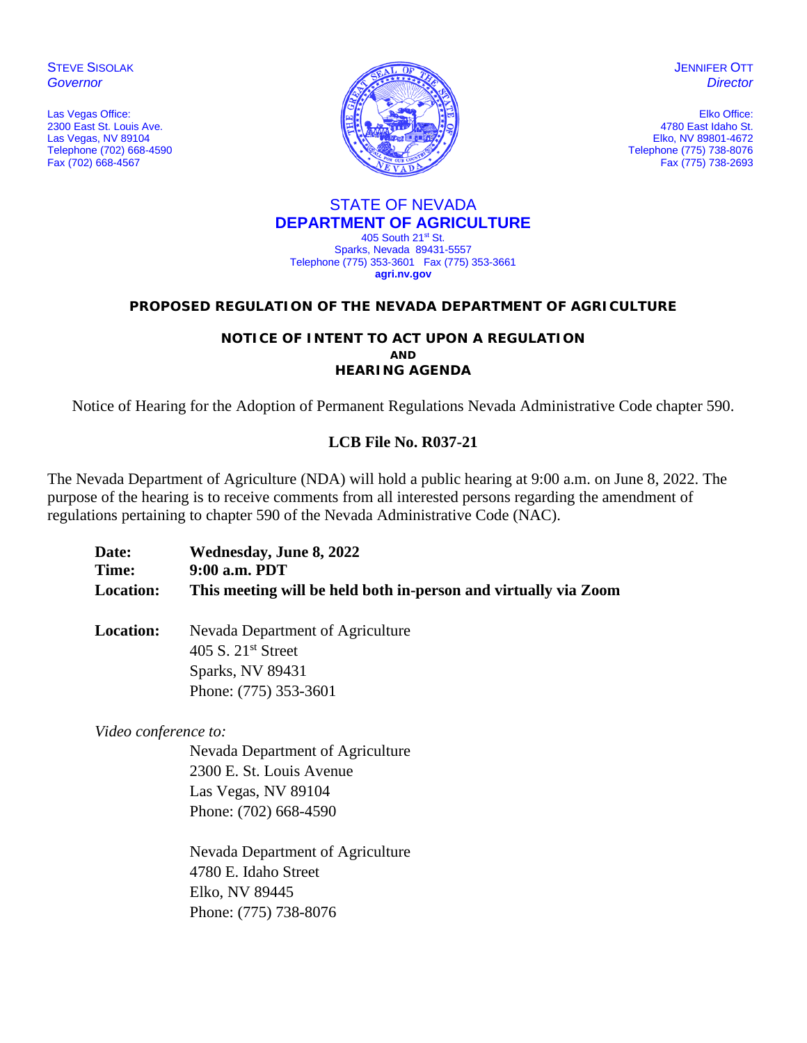**STEVE SISOLAK** *Governor*

Las Vegas Office: 2300 East St. Louis Ave. Las Vegas, NV 89104 Telephone (702) 668-4590 Fax (702) 668-4567



**JENNIFER OTT** *Director*

Elko Office: 4780 East Idaho St. Elko, NV 89801-4672 Telephone (775) 738-8076 Fax (775) 738-2693

#### STATE OF NEVADA **DEPARTMENT OF AGRICULTURE** 405 South 21st St.

Sparks, Nevada 89431-5557 Telephone (775) 353-3601 Fax (775) 353-3661 **agri.nv.gov**

#### **PROPOSED REGULATION OF THE NEVADA DEPARTMENT OF AGRICULTURE**

#### **NOTICE OF INTENT TO ACT UPON A REGULATION AND HEARING AGENDA**

Notice of Hearing for the Adoption of Permanent Regulations Nevada Administrative Code chapter 590.

## **LCB File No. R037-21**

The Nevada Department of Agriculture (NDA) will hold a public hearing at 9:00 a.m. on June 8, 2022. The purpose of the hearing is to receive comments from all interested persons regarding the amendment of regulations pertaining to chapter 590 of the Nevada Administrative Code (NAC).

| Date:            | Wednesday, June 8, 2022                                         |
|------------------|-----------------------------------------------------------------|
| Time:            | 9:00 a.m. PDT                                                   |
| <b>Location:</b> | This meeting will be held both in-person and virtually via Zoom |

**Location:** Nevada Department of Agriculture 405 S. 21<sup>st</sup> Street Sparks, NV 89431 Phone: (775) 353-3601

*Video conference to:* 

Nevada Department of Agriculture 2300 E. St. Louis Avenue Las Vegas, NV 89104 Phone: (702) 668-4590

Nevada Department of Agriculture 4780 E. Idaho Street Elko, NV 89445 Phone: (775) 738-8076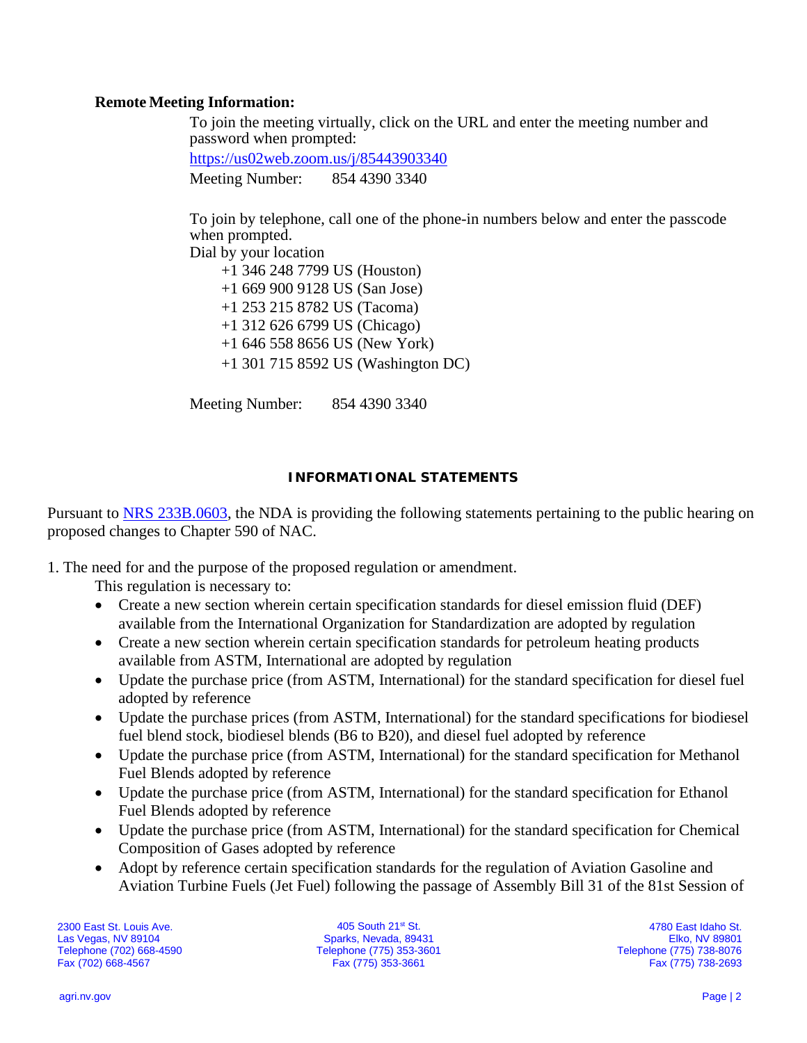## **Remote Meeting Information:**

To join the meeting virtually, click on the URL and enter the meeting number and password when prompted:

<https://us02web.zoom.us/j/85443903340> Meeting Number: 854 4390 3340

To join by telephone, call one of the phone-in numbers below and enter the passcode when prompted.

Dial by your location

 +1 346 248 7799 US (Houston) +1 669 900 9128 US (San Jose) +1 253 215 8782 US (Tacoma) +1 312 626 6799 US (Chicago) +1 646 558 8656 US (New York) +1 301 715 8592 US (Washington DC)

Meeting Number: 854 4390 3340

### **INFORMATIONAL STATEMENTS**

Pursuant to [NRS 233B.0603,](https://www.leg.state.nv.us/NRS/NRS-233B.html#NRS233BSec0603) the NDA is providing the following statements pertaining to the public hearing on proposed changes to Chapter 590 of NAC.

1. The need for and the purpose of the proposed regulation or amendment.

This regulation is necessary to:

- Create a new section wherein certain specification standards for diesel emission fluid (DEF) available from the International Organization for Standardization are adopted by regulation
- Create a new section wherein certain specification standards for petroleum heating products available from ASTM, International are adopted by regulation
- Update the purchase price (from ASTM, International) for the standard specification for diesel fuel adopted by reference
- Update the purchase prices (from ASTM, International) for the standard specifications for biodiesel fuel blend stock, biodiesel blends (B6 to B20), and diesel fuel adopted by reference
- Update the purchase price (from ASTM, International) for the standard specification for Methanol Fuel Blends adopted by reference
- Update the purchase price (from ASTM, International) for the standard specification for Ethanol Fuel Blends adopted by reference
- Update the purchase price (from ASTM, International) for the standard specification for Chemical Composition of Gases adopted by reference
- Adopt by reference certain specification standards for the regulation of Aviation Gasoline and Aviation Turbine Fuels (Jet Fuel) following the passage of Assembly Bill 31 of the 81st Session of

2300 East St. Louis Ave. Las Vegas, NV 89104 Telephone (702) 668-4590 Fax (702) 668-4567

405 South 21st St. Sparks, Nevada, 89431 Telephone (775) 353-3601 Fax (775) 353-3661

4780 East Idaho St. Elko, NV 89801 Telephone (775) 738-8076 Fax (775) 738-2693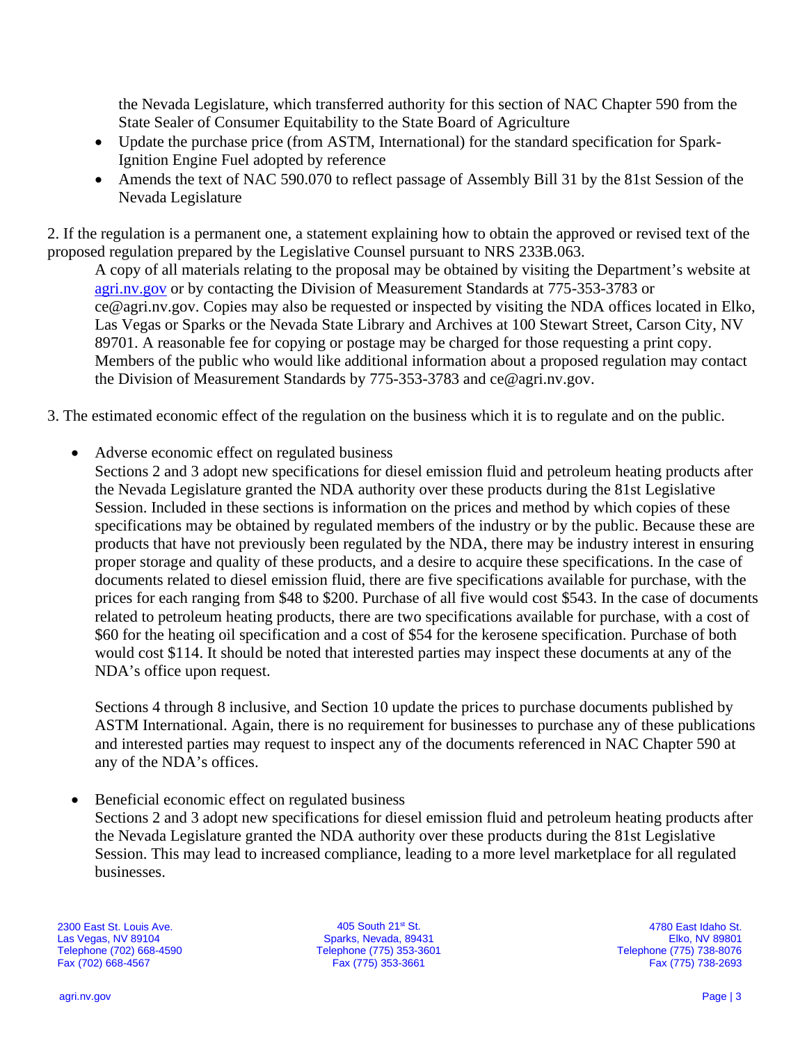the Nevada Legislature, which transferred authority for this section of NAC Chapter 590 from the State Sealer of Consumer Equitability to the State Board of Agriculture

- Update the purchase price (from ASTM, International) for the standard specification for Spark-Ignition Engine Fuel adopted by reference
- Amends the text of NAC 590.070 to reflect passage of Assembly Bill 31 by the 81st Session of the Nevada Legislature

2. If the regulation is a permanent one, a statement explaining how to obtain the approved or revised text of the proposed regulation prepared by the Legislative Counsel pursuant to NRS 233B.063.

A copy of all materials relating to the proposal may be obtained by visiting the Department's website at [agri.nv.gov](http://agri.nv.gov/Animals/Animal_Industries_Hearings,_Workshops,_Meetings/) or by contacting the Division of Measurement Standards at 775-353-3783 or ce@agri.nv.gov. Copies may also be requested or inspected by visiting the NDA offices located in Elko, Las Vegas or Sparks or the Nevada State Library and Archives at 100 Stewart Street, Carson City, NV 89701. A reasonable fee for copying or postage may be charged for those requesting a print copy. Members of the public who would like additional information about a proposed regulation may contact the Division of Measurement Standards by 775-353-3783 and ce@agri.nv.gov.

3. The estimated economic effect of the regulation on the business which it is to regulate and on the public.

• Adverse economic effect on regulated business

Sections 2 and 3 adopt new specifications for diesel emission fluid and petroleum heating products after the Nevada Legislature granted the NDA authority over these products during the 81st Legislative Session. Included in these sections is information on the prices and method by which copies of these specifications may be obtained by regulated members of the industry or by the public. Because these are products that have not previously been regulated by the NDA, there may be industry interest in ensuring proper storage and quality of these products, and a desire to acquire these specifications. In the case of documents related to diesel emission fluid, there are five specifications available for purchase, with the prices for each ranging from \$48 to \$200. Purchase of all five would cost \$543. In the case of documents related to petroleum heating products, there are two specifications available for purchase, with a cost of \$60 for the heating oil specification and a cost of \$54 for the kerosene specification. Purchase of both would cost \$114. It should be noted that interested parties may inspect these documents at any of the NDA's office upon request.

Sections 4 through 8 inclusive, and Section 10 update the prices to purchase documents published by ASTM International. Again, there is no requirement for businesses to purchase any of these publications and interested parties may request to inspect any of the documents referenced in NAC Chapter 590 at any of the NDA's offices.

• Beneficial economic effect on regulated business

Sections 2 and 3 adopt new specifications for diesel emission fluid and petroleum heating products after the Nevada Legislature granted the NDA authority over these products during the 81st Legislative Session. This may lead to increased compliance, leading to a more level marketplace for all regulated businesses.

2300 East St. Louis Ave. Las Vegas, NV 89104 Telephone (702) 668-4590 Fax (702) 668-4567

405 South 21st St. Sparks, Nevada, 89431 Telephone (775) 353-3601 Fax (775) 353-3661

4780 East Idaho St. Elko, NV 89801 Telephone (775) 738-8076 Fax (775) 738-2693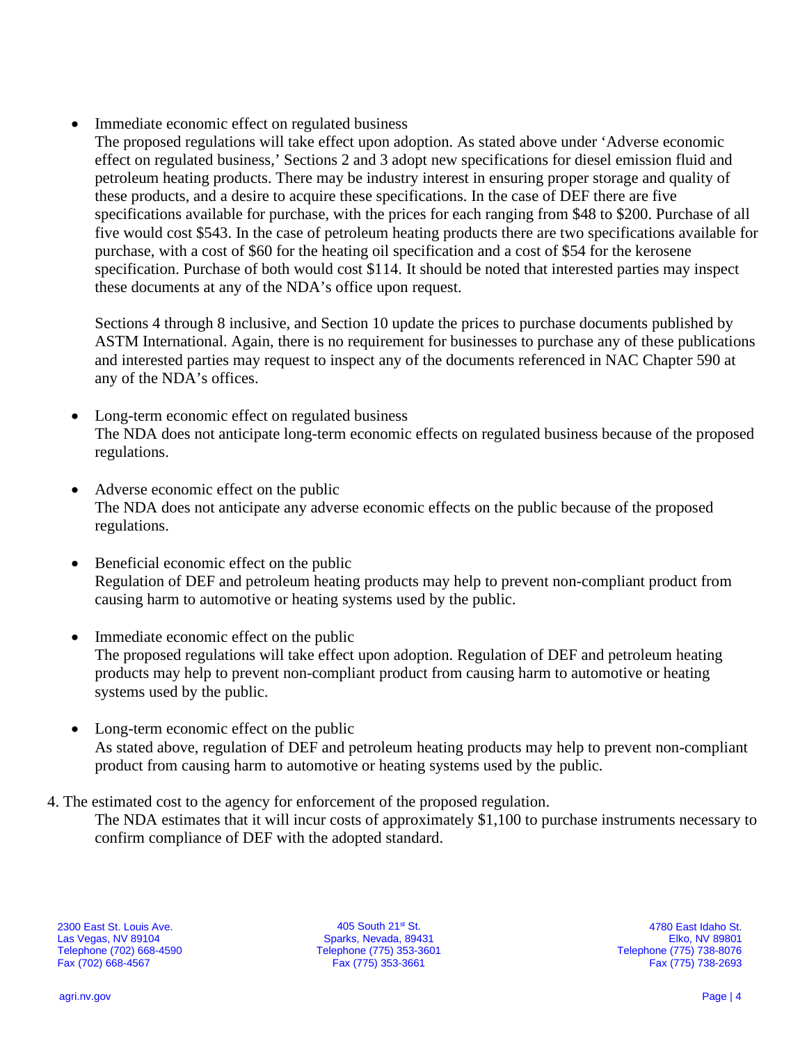Immediate economic effect on regulated business

The proposed regulations will take effect upon adoption. As stated above under 'Adverse economic effect on regulated business,' Sections 2 and 3 adopt new specifications for diesel emission fluid and petroleum heating products. There may be industry interest in ensuring proper storage and quality of these products, and a desire to acquire these specifications. In the case of DEF there are five specifications available for purchase, with the prices for each ranging from \$48 to \$200. Purchase of all five would cost \$543. In the case of petroleum heating products there are two specifications available for purchase, with a cost of \$60 for the heating oil specification and a cost of \$54 for the kerosene specification. Purchase of both would cost \$114. It should be noted that interested parties may inspect these documents at any of the NDA's office upon request.

Sections 4 through 8 inclusive, and Section 10 update the prices to purchase documents published by ASTM International. Again, there is no requirement for businesses to purchase any of these publications and interested parties may request to inspect any of the documents referenced in NAC Chapter 590 at any of the NDA's offices.

- Long-term economic effect on regulated business The NDA does not anticipate long-term economic effects on regulated business because of the proposed regulations.
- Adverse economic effect on the public The NDA does not anticipate any adverse economic effects on the public because of the proposed regulations.
- Beneficial economic effect on the public Regulation of DEF and petroleum heating products may help to prevent non-compliant product from causing harm to automotive or heating systems used by the public.
- Immediate economic effect on the public The proposed regulations will take effect upon adoption. Regulation of DEF and petroleum heating products may help to prevent non-compliant product from causing harm to automotive or heating systems used by the public.
- Long-term economic effect on the public As stated above, regulation of DEF and petroleum heating products may help to prevent non-compliant product from causing harm to automotive or heating systems used by the public.
- 4. The estimated cost to the agency for enforcement of the proposed regulation.
	- The NDA estimates that it will incur costs of approximately \$1,100 to purchase instruments necessary to confirm compliance of DEF with the adopted standard.

405 South 21st St. Sparks, Nevada, 89431 Telephone (775) 353-3601 Fax (775) 353-3661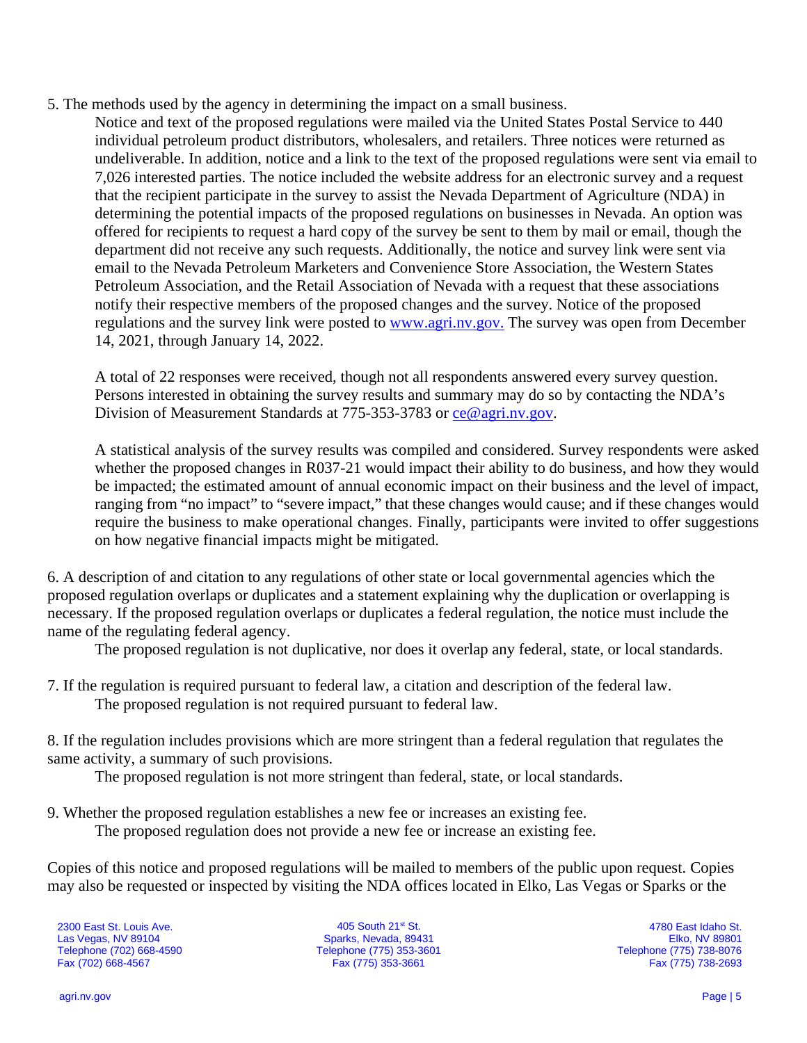- 5. The methods used by the agency in determining the impact on a small business.
	- Notice and text of the proposed regulations were mailed via the United States Postal Service to 440 individual petroleum product distributors, wholesalers, and retailers. Three notices were returned as undeliverable. In addition, notice and a link to the text of the proposed regulations were sent via email to 7,026 interested parties. The notice included the website address for an electronic survey and a request that the recipient participate in the survey to assist the Nevada Department of Agriculture (NDA) in determining the potential impacts of the proposed regulations on businesses in Nevada. An option was offered for recipients to request a hard copy of the survey be sent to them by mail or email, though the department did not receive any such requests. Additionally, the notice and survey link were sent via email to the Nevada Petroleum Marketers and Convenience Store Association, the Western States Petroleum Association, and the Retail Association of Nevada with a request that these associations notify their respective members of the proposed changes and the survey. Notice of the proposed regulations and the survey link were posted to [www.agri.nv.gov.](http://www.agri.nv.gov/) The survey was open from December 14, 2021, through January 14, 2022.

A total of 22 responses were received, though not all respondents answered every survey question. Persons interested in obtaining the survey results and summary may do so by contacting the NDA's Division of Measurement Standards at 775-353-3783 or [ce@agri.nv.gov.](mailto:ce@agri.nv.gov)

A statistical analysis of the survey results was compiled and considered. Survey respondents were asked whether the proposed changes in R037-21 would impact their ability to do business, and how they would be impacted; the estimated amount of annual economic impact on their business and the level of impact, ranging from "no impact" to "severe impact," that these changes would cause; and if these changes would require the business to make operational changes. Finally, participants were invited to offer suggestions on how negative financial impacts might be mitigated.

6. A description of and citation to any regulations of other state or local governmental agencies which the proposed regulation overlaps or duplicates and a statement explaining why the duplication or overlapping is necessary. If the proposed regulation overlaps or duplicates a federal regulation, the notice must include the name of the regulating federal agency.

The proposed regulation is not duplicative, nor does it overlap any federal, state, or local standards.

7. If the regulation is required pursuant to federal law, a citation and description of the federal law. The proposed regulation is not required pursuant to federal law.

8. If the regulation includes provisions which are more stringent than a federal regulation that regulates the same activity, a summary of such provisions.

The proposed regulation is not more stringent than federal, state, or local standards.

9. Whether the proposed regulation establishes a new fee or increases an existing fee. The proposed regulation does not provide a new fee or increase an existing fee.

Copies of this notice and proposed regulations will be mailed to members of the public upon request. Copies may also be requested or inspected by visiting the NDA offices located in Elko, Las Vegas or Sparks or the

2300 East St. Louis Ave. Las Vegas, NV 89104 Telephone (702) 668-4590 Fax (702) 668-4567

405 South 21st St. Sparks, Nevada, 89431 Telephone (775) 353-3601 Fax (775) 353-3661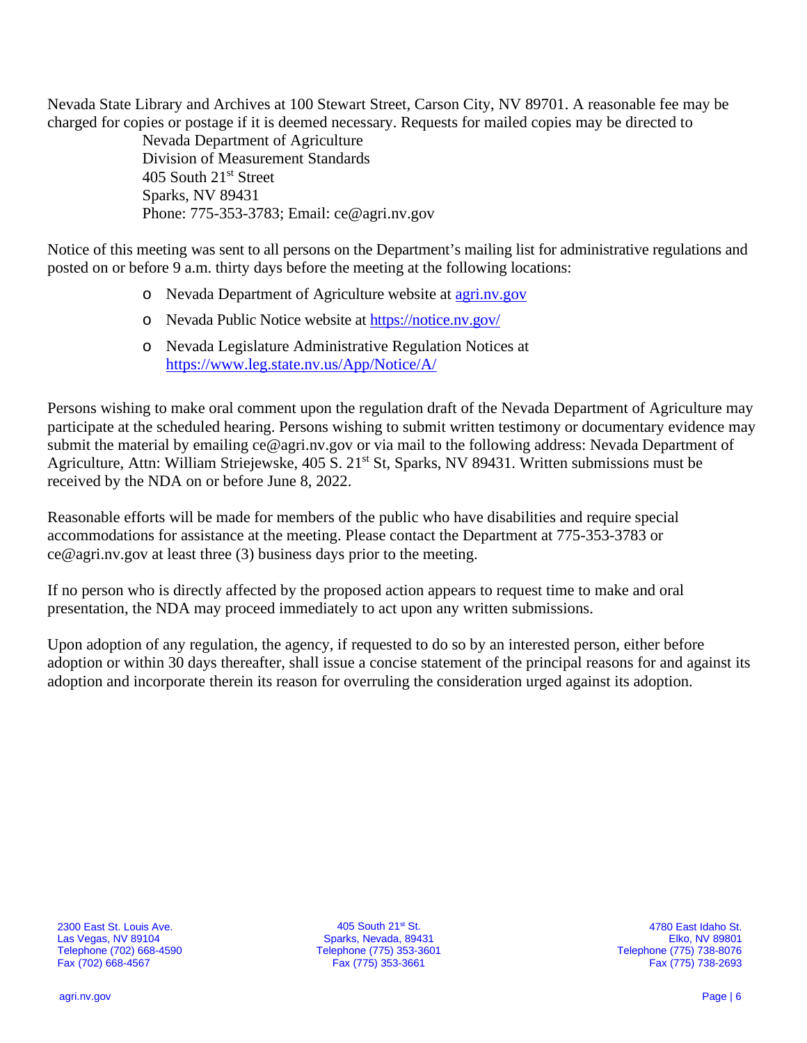Nevada State Library and Archives at 100 Stewart Street, Carson City, NV 89701. A reasonable fee may be charged for copies or postage if it is deemed necessary. Requests for mailed copies may be directed to

> Nevada Department of Agriculture Division of Measurement Standards 405 South 21st Street Sparks, NV 89431 Phone: 775-353-3783; Email: ce@agri.nv.gov

Notice of this meeting was sent to all persons on the Department's mailing list for administrative regulations and posted on or before 9 a.m. thirty days before the meeting at the following locations:

- o Nevada Department of Agriculture website at [agri.nv.gov](http://agri.nv.gov/Animals/Animal_Industries_Hearings,_Workshops,_Meetings/)
- o Nevada Public Notice website at<https://notice.nv.gov/>
- o Nevada Legislature Administrative Regulation Notices at <https://www.leg.state.nv.us/App/Notice/A/>

Persons wishing to make oral comment upon the regulation draft of the Nevada Department of Agriculture may participate at the scheduled hearing. Persons wishing to submit written testimony or documentary evidence may submit the material by emailing ce@agri.nv.gov or via mail to the following address: Nevada Department of Agriculture, Attn: William Striejewske, 405 S. 21<sup>st</sup> St, Sparks, NV 89431. Written submissions must be received by the NDA on or before June 8, 2022.

Reasonable efforts will be made for members of the public who have disabilities and require special accommodations for assistance at the meeting. Please contact the Department at 775-353-3783 or ce@agri.nv.gov at least three (3) business days prior to the meeting.

If no person who is directly affected by the proposed action appears to request time to make and oral presentation, the NDA may proceed immediately to act upon any written submissions.

Upon adoption of any regulation, the agency, if requested to do so by an interested person, either before adoption or within 30 days thereafter, shall issue a concise statement of the principal reasons for and against its adoption and incorporate therein its reason for overruling the consideration urged against its adoption.

405 South 21st St. Sparks, Nevada, 89431 Telephone (775) 353-3601 Fax (775) 353-3661